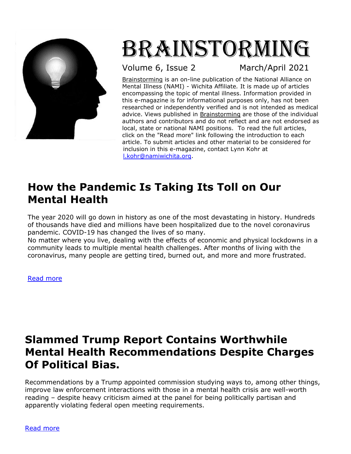

# Brainstorming

Volume 6, Issue 2 March/April 2021

Brainstorming is an on-line publication of the National Alliance on Mental Illness (NAMI) - Wichita Affiliate*.* It is made up of articles encompassing the topic of mental illness. Information provided in this e-magazine is for informational purposes only, has not been researched or independently verified and is not intended as medical advice. Views published in Brainstorming are those of the individual authors and contributors and do not reflect and are not endorsed as local, state or national NAMI positions. To read the full articles, click on the "Read more" link following the introduction to each article. To submit articles and other material to be considered for inclusion in this e-magazine, contact Lynn Kohr at [l.kohr@namiwichita.org.](mailto:l.kohr@namiwichita.org)

### **How the Pandemic Is Taking Its Toll on Our Mental Health**

The year 2020 will go down in history as one of the most devastating in history. Hundreds of thousands have died and millions have been hospitalized due to the novel coronavirus pandemic. COVID-19 has changed the lives of so many.

No matter where you live, dealing with the effects of economic and physical lockdowns in a community leads to multiple mental health challenges. After months of living with the coronavirus, many people are getting tired, burned out, and more and more frustrated.

[Read more](https://psychcentral.com/blog/how-the-pandemic-is-taking-its-toll-on-our-mental-health)

#### **[Slammed Trump Report Contains Worthwhile](http://www.peteearley.com/2021/02/16/slammed-trump-report-contains-worthwhile-mental-health-recommendations-despite-charges-of-political-bias/)  [Mental Health Recommendations Despite Charges](http://www.peteearley.com/2021/02/16/slammed-trump-report-contains-worthwhile-mental-health-recommendations-despite-charges-of-political-bias/)  [Of Political Bias.](http://www.peteearley.com/2021/02/16/slammed-trump-report-contains-worthwhile-mental-health-recommendations-despite-charges-of-political-bias/)**

Recommendations by a Trump appointed commission studying ways to, among other things, improve law enforcement interactions with those in a mental health crisis are well-worth reading – despite [heavy criticism aimed at the panel](https://www.latimes.com/opinion/story/2020-12-24/editorial-failed-trump-policing-commission-report-includes-a-few-useful-nuggets) for being politically partisan and apparently violating federal open meeting requirements.